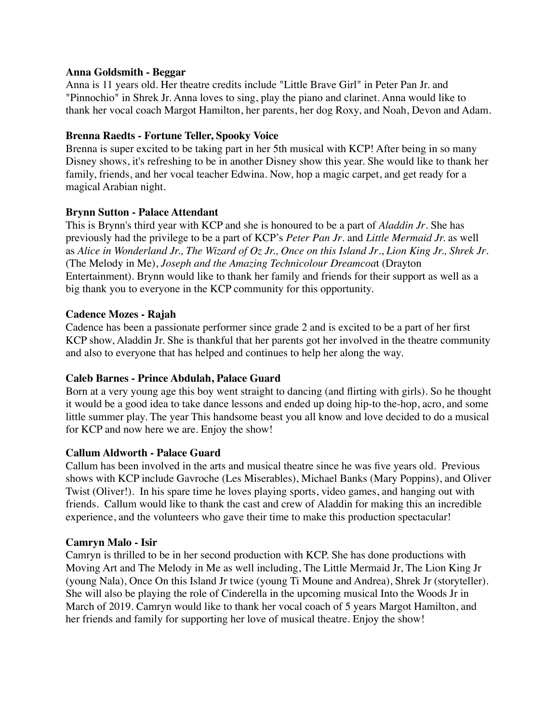### **Anna Goldsmith - Beggar**

Anna is 11 years old. Her theatre credits include "Little Brave Girl" in Peter Pan Jr. and "Pinnochio" in Shrek Jr. Anna loves to sing, play the piano and clarinet. Anna would like to thank her vocal coach Margot Hamilton, her parents, her dog Roxy, and Noah, Devon and Adam.

## **Brenna Raedts - Fortune Teller, Spooky Voice**

Brenna is super excited to be taking part in her 5th musical with KCP! After being in so many Disney shows, it's refreshing to be in another Disney show this year. She would like to thank her family, friends, and her vocal teacher Edwina. Now, hop a magic carpet, and get ready for a magical Arabian night.

### **Brynn Sutton - Palace Attendant**

This is Brynn's third year with KCP and she is honoured to be a part of *Aladdin Jr*. She has previously had the privilege to be a part of KCP's *Peter Pan Jr*. and *Little Mermaid Jr.* as well as *Alice in Wonderland Jr., The Wizard of Oz Jr., Once on this Island Jr*., *Lion King Jr., Shrek Jr*. (The Melody in Me), *Joseph and the Amazing Technicolour Dreamcoa*t (Drayton Entertainment). Brynn would like to thank her family and friends for their support as well as a big thank you to everyone in the KCP community for this opportunity.

### **Cadence Mozes - Rajah**

Cadence has been a passionate performer since grade 2 and is excited to be a part of her first KCP show, Aladdin Jr. She is thankful that her parents got her involved in the theatre community and also to everyone that has helped and continues to help her along the way.

# **Caleb Barnes - Prince Abdulah, Palace Guard**

Born at a very young age this boy went straight to dancing (and flirting with girls). So he thought it would be a good idea to take dance lessons and ended up doing hip-to the-hop, acro, and some little summer play. The year This handsome beast you all know and love decided to do a musical for KCP and now here we are. Enjoy the show!

#### **Callum Aldworth - Palace Guard**

Callum has been involved in the arts and musical theatre since he was five years old. Previous shows with KCP include Gavroche (Les Miserables), Michael Banks (Mary Poppins), and Oliver Twist (Oliver!). In his spare time he loves playing sports, video games, and hanging out with friends. Callum would like to thank the cast and crew of Aladdin for making this an incredible experience, and the volunteers who gave their time to make this production spectacular!

#### **Camryn Malo - Isir**

Camryn is thrilled to be in her second production with KCP. She has done productions with Moving Art and The Melody in Me as well including, The Little Mermaid Jr, The Lion King Jr (young Nala), Once On this Island Jr twice (young Ti Moune and Andrea), Shrek Jr (storyteller). She will also be playing the role of Cinderella in the upcoming musical Into the Woods Jr in March of 2019. Camryn would like to thank her vocal coach of 5 years Margot Hamilton, and her friends and family for supporting her love of musical theatre. Enjoy the show!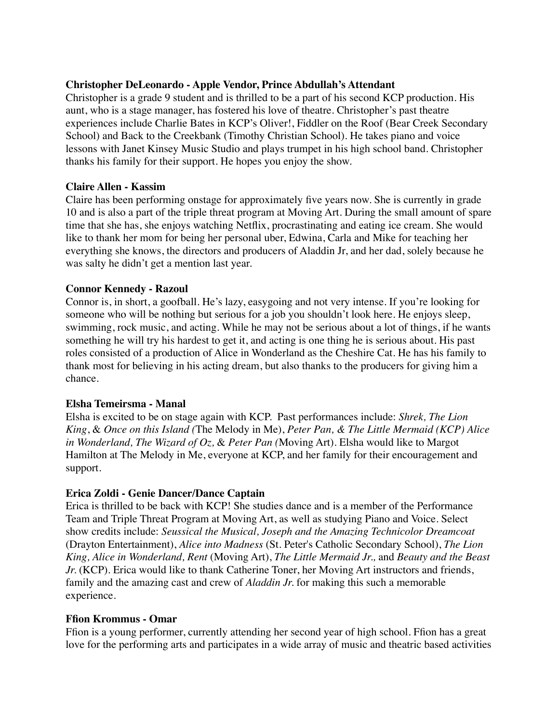### **Christopher DeLeonardo - Apple Vendor, Prince Abdullah's Attendant**

Christopher is a grade 9 student and is thrilled to be a part of his second KCP production. His aunt, who is a stage manager, has fostered his love of theatre. Christopher's past theatre experiences include Charlie Bates in KCP's Oliver!, Fiddler on the Roof (Bear Creek Secondary School) and Back to the Creekbank (Timothy Christian School). He takes piano and voice lessons with Janet Kinsey Music Studio and plays trumpet in his high school band. Christopher thanks his family for their support. He hopes you enjoy the show.

#### **Claire Allen - Kassim**

Claire has been performing onstage for approximately five years now. She is currently in grade 10 and is also a part of the triple threat program at Moving Art. During the small amount of spare time that she has, she enjoys watching Netflix, procrastinating and eating ice cream. She would like to thank her mom for being her personal uber, Edwina, Carla and Mike for teaching her everything she knows, the directors and producers of Aladdin Jr, and her dad, solely because he was salty he didn't get a mention last year.

### **Connor Kennedy - Razoul**

Connor is, in short, a goofball. He's lazy, easygoing and not very intense. If you're looking for someone who will be nothing but serious for a job you shouldn't look here. He enjoys sleep, swimming, rock music, and acting. While he may not be serious about a lot of things, if he wants something he will try his hardest to get it, and acting is one thing he is serious about. His past roles consisted of a production of Alice in Wonderland as the Cheshire Cat. He has his family to thank most for believing in his acting dream, but also thanks to the producers for giving him a chance.

#### **Elsha Temeirsma - Manal**

Elsha is excited to be on stage again with KCP. Past performances include: *Shrek, The Lion King*, & *Once on this Island (*The Melody in Me), *Peter Pan, & The Little Mermaid (KCP) Alice in Wonderland, The Wizard of Oz,* & *Peter Pan (*Moving Art)*.* Elsha would like to Margot Hamilton at The Melody in Me, everyone at KCP, and her family for their encouragement and support.

#### **Erica Zoldi - Genie Dancer/Dance Captain**

Erica is thrilled to be back with KCP! She studies dance and is a member of the Performance Team and Triple Threat Program at Moving Art, as well as studying Piano and Voice. Select show credits include: *Seussical the Musical, Joseph and the Amazing Technicolor Dreamcoat* (Drayton Entertainment), *Alice into Madness* (St. Peter's Catholic Secondary School), *The Lion King, Alice in Wonderland, Rent* (Moving Art), *The Little Mermaid Jr.,* and *Beauty and the Beast Jr.* (KCP). Erica would like to thank Catherine Toner, her Moving Art instructors and friends, family and the amazing cast and crew of *Aladdin Jr.* for making this such a memorable experience.

#### **Ffion Krommus - Omar**

Ffion is a young performer, currently attending her second year of high school. Ffion has a great love for the performing arts and participates in a wide array of music and theatric based activities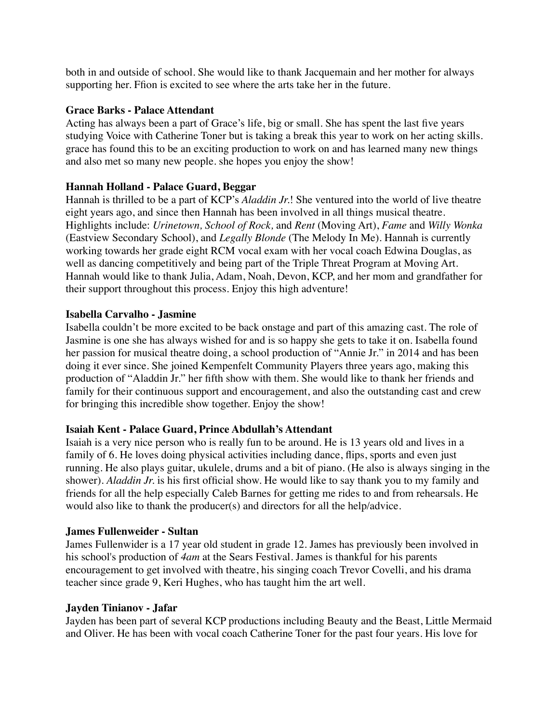both in and outside of school. She would like to thank Jacquemain and her mother for always supporting her. Ffion is excited to see where the arts take her in the future.

### **Grace Barks - Palace Attendant**

Acting has always been a part of Grace's life, big or small. She has spent the last five years studying Voice with Catherine Toner but is taking a break this year to work on her acting skills. grace has found this to be an exciting production to work on and has learned many new things and also met so many new people. she hopes you enjoy the show!

### **Hannah Holland - Palace Guard, Beggar**

Hannah is thrilled to be a part of KCP's *Aladdin Jr.*! She ventured into the world of live theatre eight years ago, and since then Hannah has been involved in all things musical theatre. Highlights include: *Urinetown, School of Rock,* and *Rent* (Moving Art), *Fame* and *Willy Wonka* (Eastview Secondary School), and *Legally Blonde* (The Melody In Me). Hannah is currently working towards her grade eight RCM vocal exam with her vocal coach Edwina Douglas, as well as dancing competitively and being part of the Triple Threat Program at Moving Art. Hannah would like to thank Julia, Adam, Noah, Devon, KCP, and her mom and grandfather for their support throughout this process. Enjoy this high adventure!

### **Isabella Carvalho - Jasmine**

Isabella couldn't be more excited to be back onstage and part of this amazing cast. The role of Jasmine is one she has always wished for and is so happy she gets to take it on. Isabella found her passion for musical theatre doing, a school production of "Annie Jr." in 2014 and has been doing it ever since. She joined Kempenfelt Community Players three years ago, making this production of "Aladdin Jr." her fifth show with them. She would like to thank her friends and family for their continuous support and encouragement, and also the outstanding cast and crew for bringing this incredible show together. Enjoy the show!

# **Isaiah Kent - Palace Guard, Prince Abdullah's Attendant**

Isaiah is a very nice person who is really fun to be around. He is 13 years old and lives in a family of 6. He loves doing physical activities including dance, flips, sports and even just running. He also plays guitar, ukulele, drums and a bit of piano. (He also is always singing in the shower). *Aladdin Jr.* is his first official show. He would like to say thank you to my family and friends for all the help especially Caleb Barnes for getting me rides to and from rehearsals. He would also like to thank the producer(s) and directors for all the help/advice.

#### **James Fullenweider - Sultan**

James Fullenwider is a 17 year old student in grade 12. James has previously been involved in his school's production of *4am* at the Sears Festival. James is thankful for his parents encouragement to get involved with theatre, his singing coach Trevor Covelli, and his drama teacher since grade 9, Keri Hughes, who has taught him the art well.

#### **Jayden Tinianov - Jafar**

Jayden has been part of several KCP productions including Beauty and the Beast, Little Mermaid and Oliver. He has been with vocal coach Catherine Toner for the past four years. His love for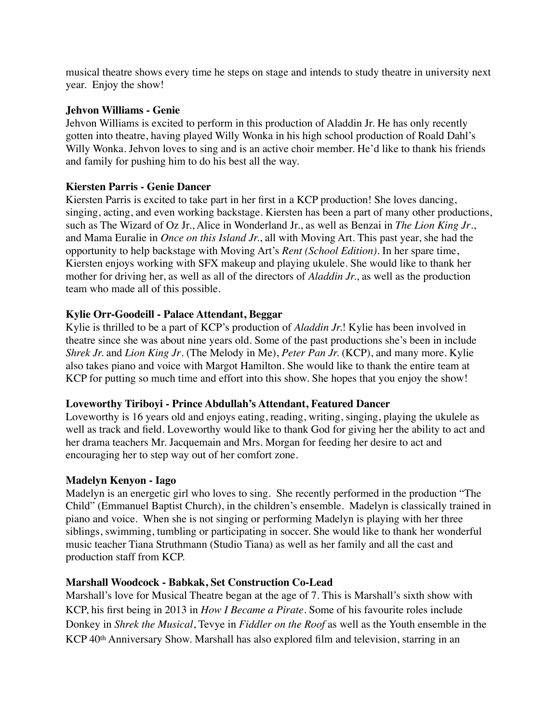musical theatre shows every time he steps on stage and intends to study theatre in university next year. Enjoy the show!

### **Jehvon Williams - Genie**

Jehvon Williams is excited to perform in this production of Aladdin Jr. He has only recently gotten into theatre, having played Willy Wonka in his high school production of Roald Dahl's Willy Wonka. Jehvon loves to sing and is an active choir member. He'd like to thank his friends and family for pushing him to do his best all the way.

# **Kiersten Parris - Genie Dancer**

Kiersten Parris is excited to take part in her first in a KCP production! She loves dancing, singing, acting, and even working backstage. Kiersten has been a part of many other productions, such as The Wizard of Oz Jr., Alice in Wonderland Jr., as well as Benzai in *The Lion King Jr*., and Mama Euralie in *Once on this Island Jr.*, all with Moving Art. This past year, she had the opportunity to help backstage with Moving Art's *Rent (School Edition)*. In her spare time, Kiersten enjoys working with SFX makeup and playing ukulele. She would like to thank her mother for driving her, as well as all of the directors of *Aladdin Jr.*, as well as the production team who made all of this possible.

### **Kylie Orr-Goodeill - Palace Attendant, Beggar**

Kylie is thrilled to be a part of KCP's production of *Aladdin Jr.*! Kylie has been involved in theatre since she was about nine years old. Some of the past productions she's been in include *Shrek Jr.* and *Lion King Jr*. (The Melody in Me), *Peter Pan Jr.* (KCP), and many more. Kylie also takes piano and voice with Margot Hamilton. She would like to thank the entire team at KCP for putting so much time and effort into this show. She hopes that you enjoy the show!

#### **Loveworthy Tiriboyi - Prince Abdullah's Attendant, Featured Dancer**

Loveworthy is 16 years old and enjoys eating, reading, writing, singing, playing the ukulele as well as track and field. Loveworthy would like to thank God for giving her the ability to act and her drama teachers Mr. Jacquemain and Mrs. Morgan for feeding her desire to act and encouraging her to step way out of her comfort zone.

#### **Madelyn Kenyon - Iago**

Madelyn is an energetic girl who loves to sing. She recently performed in the production "The Child" (Emmanuel Baptist Church), in the children's ensemble. Madelyn is classically trained in piano and voice. When she is not singing or performing Madelyn is playing with her three siblings, swimming, tumbling or participating in soccer. She would like to thank her wonderful music teacher Tiana Struthmann (Studio Tiana) as well as her family and all the cast and production staff from KCP.

#### **Marshall Woodcock - Babkak, Set Construction Co-Lead**

Marshall's love for Musical Theatre began at the age of 7. This is Marshall's sixth show with KCP, his first being in 2013 in *How I Became a Pirate*. Some of his favourite roles include Donkey in *Shrek the Musical*, Tevye in *Fiddler on the Roof* as well as the Youth ensemble in the KCP 40<sup>th</sup> Anniversary Show. Marshall has also explored film and television, starring in an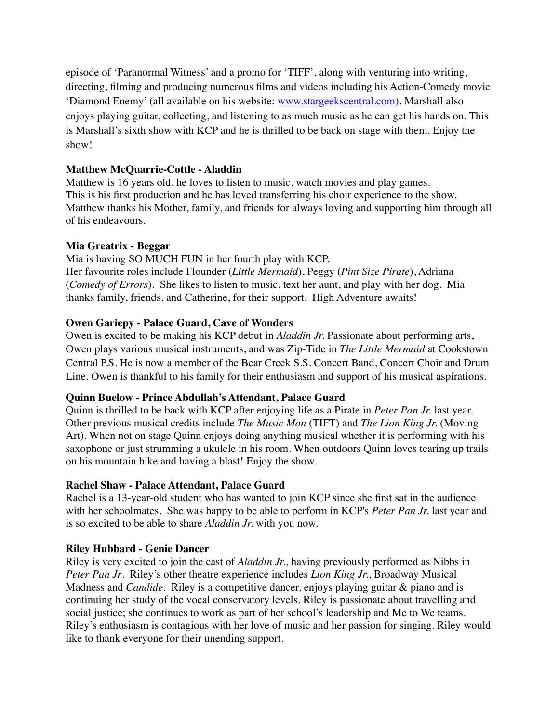episode of 'Paranormal Witness' and a promo for 'TIFF', along with venturing into writing, directing, filming and producing numerous films and videos including his Action-Comedy movie 'Diamond Enemy' (all available on his website: [www.stargeekscentral.com](http://www.stargeekscentral.com)). Marshall also enjoys playing guitar, collecting, and listening to as much music as he can get his hands on. This is Marshall's sixth show with KCP and he is thrilled to be back on stage with them. Enjoy the show!

# **Matthew McQuarrie-Cottle - Aladdin**

Matthew is 16 years old, he loves to listen to music, watch movies and play games. This is his first production and he has loved transferring his choir experience to the show. Matthew thanks his Mother, family, and friends for always loving and supporting him through all of his endeavours.

### **Mia Greatrix - Beggar**

Mia is having SO MUCH FUN in her fourth play with KCP. Her favourite roles include Flounder (*Little Mermaid*), Peggy (*Pint Size Pirate*), Adriana (*Comedy of Errors*). She likes to listen to music, text her aunt, and play with her dog. Mia thanks family, friends, and Catherine, for their support. High Adventure awaits!

### **Owen Gariepy - Palace Guard, Cave of Wonders**

Owen is excited to be making his KCP debut in *Aladdin Jr.* Passionate about performing arts, Owen plays various musical instruments, and was Zip-Tide in *The Little Mermaid* at Cookstown Central P.S. He is now a member of the Bear Creek S.S. Concert Band, Concert Choir and Drum Line. Owen is thankful to his family for their enthusiasm and support of his musical aspirations.

# **Quinn Buelow - Prince Abdullah's Attendant, Palace Guard**

Quinn is thrilled to be back with KCP after enjoying life as a Pirate in *Peter Pan Jr.* last year. Other previous musical credits include *The Music Man* (TIFT) and *The Lion King Jr.* (Moving Art). When not on stage Quinn enjoys doing anything musical whether it is performing with his saxophone or just strumming a ukulele in his room. When outdoors Quinn loves tearing up trails on his mountain bike and having a blast! Enjoy the show.

#### **Rachel Shaw - Palace Attendant, Palace Guard**

Rachel is a 13-year-old student who has wanted to join KCP since she first sat in the audience with her schoolmates. She was happy to be able to perform in KCP's *Peter Pan Jr.* last year and is so excited to be able to share *Aladdin Jr.* with you now.

# **Riley Hubbard - Genie Dancer**

Riley is very excited to join the cast of *Aladdin Jr.*, having previously performed as Nibbs in *Peter Pan Jr*. Riley's other theatre experience includes *Lion King Jr.*, Broadway Musical Madness and *Candide*. Riley is a competitive dancer, enjoys playing guitar & piano and is continuing her study of the vocal conservatory levels. Riley is passionate about travelling and social justice; she continues to work as part of her school's leadership and Me to We teams. Riley's enthusiasm is contagious with her love of music and her passion for singing. Riley would like to thank everyone for their unending support.